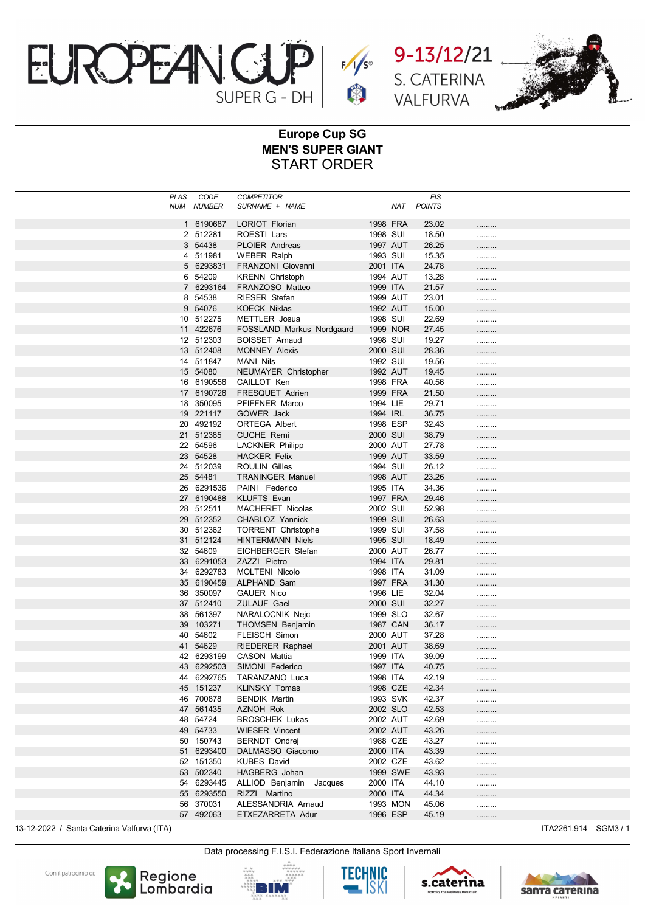





## Europe Cup SG MEN'S SUPER GIANT START ORDER

| PLAS | CODE                     | <b>COMPETITOR</b>                     |                      |     | FIS            |       |
|------|--------------------------|---------------------------------------|----------------------|-----|----------------|-------|
| NUM  | <b>NUMBER</b>            | SURNAME + NAME                        |                      | NAT | <b>POINTS</b>  |       |
|      | 1 6190687                | <b>LORIOT Florian</b>                 | 1998 FRA             |     | 23.02          |       |
|      | 2 512281                 | ROESTI Lars                           | 1998 SUI             |     | 18.50          | .<br> |
|      | 3 54438                  | <b>PLOIER Andreas</b>                 | 1997 AUT             |     | 26.25          | .     |
|      | 511981<br>4              | <b>WEBER Ralph</b>                    | 1993 SUI             |     | 15.35          |       |
|      | 5 6293831                | FRANZONI Giovanni                     | 2001 ITA             |     | 24.78          | .     |
|      | 54209<br>6               | <b>KRENN Christoph</b>                | 1994 AUT             |     | 13.28          |       |
|      | 7 6293164                | FRANZOSO Matteo                       | 1999 ITA             |     | 21.57          |       |
|      | 54538<br>8               | RIESER Stefan                         | 1999 AUT             |     | 23.01          |       |
|      | 54076<br>9               | <b>KOECK Niklas</b>                   | 1992 AUT             |     | 15.00          | .     |
|      | 10 512275                | METTLER Josua                         | 1998 SUI             |     | 22.69          |       |
|      | 11 422676                | FOSSLAND Markus Nordgaard             | 1999 NOR             |     | 27.45          | .     |
|      | 12 512303                | <b>BOISSET Arnaud</b>                 | 1998 SUI             |     | 19.27          |       |
|      | 13 512408                | <b>MONNEY Alexis</b>                  | 2000 SUI             |     | 28.36          | .     |
|      | 14 511847                | MANI Nils                             | 1992 SUI             |     | 19.56          |       |
|      | 15 54080                 | <b>NEUMAYER Christopher</b>           | 1992 AUT             |     | 19.45          |       |
|      | 16 6190556               | CAILLOT Ken                           | 1998 FRA             |     | 40.56          |       |
|      | 17 6190726               | <b>FRESQUET Adrien</b>                | 1999 FRA             |     | 21.50          | .     |
|      | 18 350095                | PFIFFNER Marco                        | 1994 LIE             |     | 29.71          | .     |
|      | 19 221117                | <b>GOWER Jack</b>                     | 1994 IRL             |     | 36.75          | .     |
|      | 492192<br>20             | <b>ORTEGA Albert</b>                  | 1998 ESP             |     | 32.43          |       |
|      | 21 512385                | <b>CUCHE Remi</b>                     | 2000 SUI             |     | 38.79          | .     |
|      | 22 54596                 | <b>LACKNER Philipp</b>                | 2000 AUT             |     | 27.78          |       |
|      | 23 54528                 | <b>HACKER Felix</b>                   | 1999 AUT             |     | 33.59          |       |
|      | 24 512039                | <b>ROULIN Gilles</b>                  | 1994 SUI             |     | 26.12          |       |
|      | 25 54481                 | <b>TRANINGER Manuel</b>               | 1998 AUT             |     | 23.26          | .     |
|      | 26 6291536               | PAINI Federico                        | 1995 ITA             |     | 34.36          |       |
|      | 27 6190488               | <b>KLUFTS Evan</b>                    | 1997 FRA             |     | 29.46          |       |
|      | 28 512511                | <b>MACHERET Nicolas</b>               | 2002 SUI             |     | 52.98          |       |
|      | 29 512352                | <b>CHABLOZ Yannick</b>                | 1999 SUI             |     | 26.63          | .     |
|      | 30 512362                | <b>TORRENT Christophe</b>             | 1999 SUI             |     | 37.58          |       |
|      | 31 512124                | <b>HINTERMANN Niels</b>               | 1995 SUI             |     | 18.49          |       |
|      | 32 54609                 | EICHBERGER Stefan                     | 2000 AUT             |     | 26.77          |       |
|      | 33 6291053<br>34 6292783 | ZAZZI Pietro<br><b>MOLTENI Nicolo</b> | 1994 ITA<br>1998 ITA |     | 29.81<br>31.09 | .     |
|      | 35 6190459               | ALPHAND Sam                           | 1997 FRA             |     | 31.30          | .     |
|      | 350097<br>36             | <b>GAUER Nico</b>                     | 1996 LIE             |     | 32.04          |       |
|      | 37 512410                | <b>ZULAUF Gael</b>                    | 2000 SUI             |     | 32.27          |       |
|      | 38<br>561397             | NARALOCNIK Nejc                       | 1999 SLO             |     | 32.67          |       |
|      | 39 103271                | <b>THOMSEN Benjamin</b>               | 1987 CAN             |     | 36.17          | .     |
|      | 40 54602                 | <b>FLEISCH Simon</b>                  | 2000 AUT             |     | 37.28          | <br>. |
|      | 41 54629                 | <b>RIEDERER Raphael</b>               | 2001 AUT             |     | 38.69          | .     |
|      | 42 6293199               | CASON Mattia                          | 1999 ITA             |     | 39.09          |       |
|      | 43 6292503               | SIMONI Federico                       | 1997 ITA             |     | 40.75          |       |
|      | 6292765<br>44            | TARANZANO Luca                        | 1998 ITA             |     | 42.19          |       |
|      | 45 151237                | <b>KLINSKY Tomas</b>                  | 1998 CZE             |     | 42.34          | .     |
|      | 46 700878                | <b>BENDIK Martin</b>                  | 1993 SVK             |     | 42.37          |       |
|      | 47 561435                | AZNOH Rok                             | 2002 SLO             |     | 42.53          | .     |
|      | 48 54724                 | <b>BROSCHEK Lukas</b>                 | 2002 AUT             |     | 42.69          |       |
|      | 49 54733                 | <b>WIESER Vincent</b>                 | 2002 AUT             |     | 43.26          | .     |
|      | 50 150743                | <b>BERNDT Ondrej</b>                  | 1988 CZE             |     | 43.27          |       |
|      | 51 6293400               | DALMASSO Giacomo                      | 2000 ITA             |     | 43.39          | .     |
|      | 52 151350                | <b>KUBES David</b>                    | 2002 CZE             |     | 43.62          |       |
|      | 53 502340                | HAGBERG Johan                         | 1999 SWE             |     | 43.93          | .     |
|      | 54 6293445               | ALLIOD Benjamin Jacques               | 2000 ITA             |     | 44.10          |       |
|      | 55 6293550               | RIZZI Martino                         | 2000 ITA             |     | 44.34          | .     |
|      | 56 370031                | ALESSANDRIA Arnaud                    | 1993 MON             |     | 45.06          |       |
|      | 57 492063                | ETXEZARRETA Adur                      | 1996 ESP             |     | 45.19          |       |

13-12-2022 / Santa Caterina Valfurva (ITA) and the state of the state of the state of the state of the state of the state of the state of the state of the state of the state of the state of the state of the state of the st

Data processing F.I.S.I. Federazione Italiana Sport Invernali